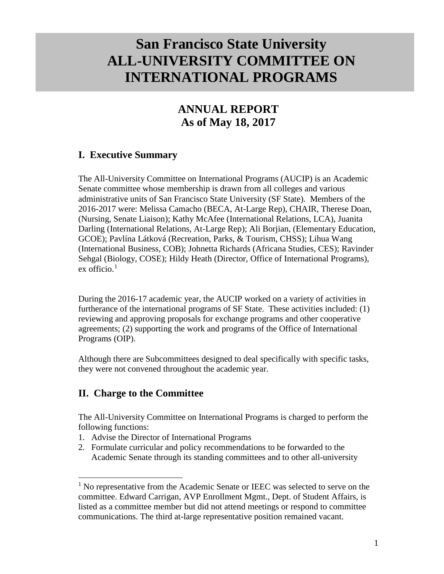# **San Francisco State University ALL-UNIVERSITY COMMITTEE ON INTERNATIONAL PROGRAMS**

# **ANNUAL REPORT As of May 18, 2017**

# **I. Executive Summary**

The All-University Committee on International Programs (AUCIP) is an Academic Senate committee whose membership is drawn from all colleges and various administrative units of San Francisco State University (SF State). Members of the 2016-2017 were: Melissa Camacho (BECA, At-Large Rep), CHAIR, Therese Doan, (Nursing, Senate Liaison); Kathy McAfee (International Relations, LCA), Juanita Darling (International Relations, At-Large Rep); Ali Borjian, (Elementary Education, GCOE); Pavlína Látková (Recreation, Parks, & Tourism, CHSS); Lihua Wang (International Business, COB); Johnetta Richards (Africana Studies, CES); Ravinder Sehgal (Biology, COSE); Hildy Heath (Director, Office of International Programs), ex officio. $1$ 

During the 2016-17 academic year, the AUCIP worked on a variety of activities in furtherance of the international programs of SF State. These activities included: (1) reviewing and approving proposals for exchange programs and other cooperative agreements; (2) supporting the work and programs of the Office of International Programs (OIP).

Although there are Subcommittees designed to deal specifically with specific tasks, they were not convened throughout the academic year.

# **II. Charge to the Committee**

The All-University Committee on International Programs is charged to perform the following functions:

- 1. Advise the Director of International Programs
- 2. Formulate curricular and policy recommendations to be forwarded to the Academic Senate through its standing committees and to other all-university

<span id="page-0-0"></span> $<sup>1</sup>$  No representative from the Academic Senate or IEEC was selected to serve on the</sup> committee. Edward Carrigan, AVP Enrollment Mgmt., Dept. of Student Affairs, is listed as a committee member but did not attend meetings or respond to committee communications. The third at-large representative position remained vacant.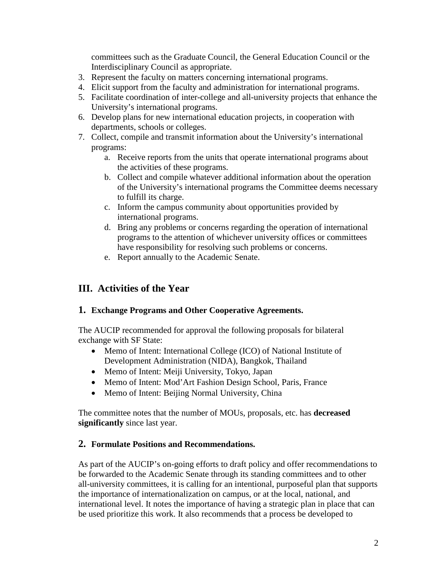committees such as the Graduate Council, the General Education Council or the Interdisciplinary Council as appropriate.

- 3. Represent the faculty on matters concerning international programs.
- 4. Elicit support from the faculty and administration for international programs.
- 5. Facilitate coordination of inter-college and all-university projects that enhance the University's international programs.
- 6. Develop plans for new international education projects, in cooperation with departments, schools or colleges.
- 7. Collect, compile and transmit information about the University's international programs:
	- a. Receive reports from the units that operate international programs about the activities of these programs.
	- b. Collect and compile whatever additional information about the operation of the University's international programs the Committee deems necessary to fulfill its charge.
	- c. Inform the campus community about opportunities provided by international programs.
	- d. Bring any problems or concerns regarding the operation of international programs to the attention of whichever university offices or committees have responsibility for resolving such problems or concerns.
	- e. Report annually to the Academic Senate.

# **III. Activities of the Year**

#### **1. Exchange Programs and Other Cooperative Agreements.**

The AUCIP recommended for approval the following proposals for bilateral exchange with SF State:

- Memo of Intent: International College (ICO) of National Institute of Development Administration (NIDA), Bangkok, Thailand
- Memo of Intent: Meiji University, Tokyo, Japan
- Memo of Intent: Mod'Art Fashion Design School, Paris, France
- Memo of Intent: Beijing Normal University, China

The committee notes that the number of MOUs, proposals, etc. has **decreased significantly** since last year.

## **2. Formulate Positions and Recommendations.**

As part of the AUCIP's on-going efforts to draft policy and offer recommendations to be forwarded to the Academic Senate through its standing committees and to other all-university committees, it is calling for an intentional, purposeful plan that supports the importance of internationalization on campus, or at the local, national, and international level. It notes the importance of having a strategic plan in place that can be used prioritize this work. It also recommends that a process be developed to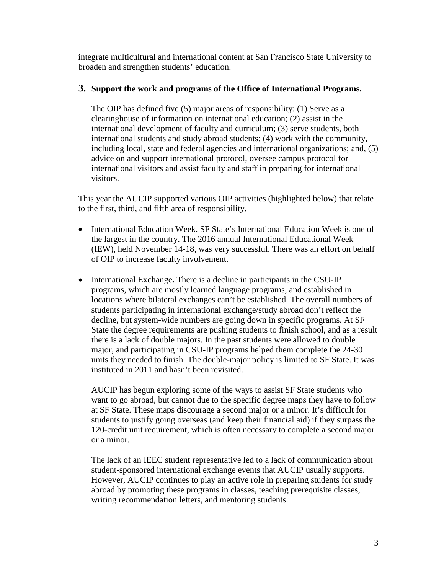integrate multicultural and international content at San Francisco State University to broaden and strengthen students' education.

#### **3. Support the work and programs of the Office of International Programs.**

The OIP has defined five (5) major areas of responsibility: (1) Serve as a clearinghouse of information on international education; (2) assist in the international development of faculty and curriculum; (3) serve students, both international students and study abroad students; (4) work with the community, including local, state and federal agencies and international organizations; and, (5) advice on and support international protocol, oversee campus protocol for international visitors and assist faculty and staff in preparing for international visitors.

This year the AUCIP supported various OIP activities (highlighted below) that relate to the first, third, and fifth area of responsibility.

- International Education Week. SF State's International Education Week is one of the largest in the country. The 2016 annual International Educational Week (IEW), held November 14-18, was very successful. There was an effort on behalf of OIP to increase faculty involvement.
- International Exchange**.** There is a decline in participants in the CSU-IP programs, which are mostly learned language programs, and established in locations where bilateral exchanges can't be established. The overall numbers of students participating in international exchange/study abroad don't reflect the decline, but system-wide numbers are going down in specific programs. At SF State the degree requirements are pushing students to finish school, and as a result there is a lack of double majors. In the past students were allowed to double major, and participating in CSU-IP programs helped them complete the 24-30 units they needed to finish. The double-major policy is limited to SF State. It was instituted in 2011 and hasn't been revisited.

AUCIP has begun exploring some of the ways to assist SF State students who want to go abroad, but cannot due to the specific degree maps they have to follow at SF State. These maps discourage a second major or a minor. It's difficult for students to justify going overseas (and keep their financial aid) if they surpass the 120-credit unit requirement, which is often necessary to complete a second major or a minor.

The lack of an IEEC student representative led to a lack of communication about student-sponsored international exchange events that AUCIP usually supports. However, AUCIP continues to play an active role in preparing students for study abroad by promoting these programs in classes, teaching prerequisite classes, writing recommendation letters, and mentoring students.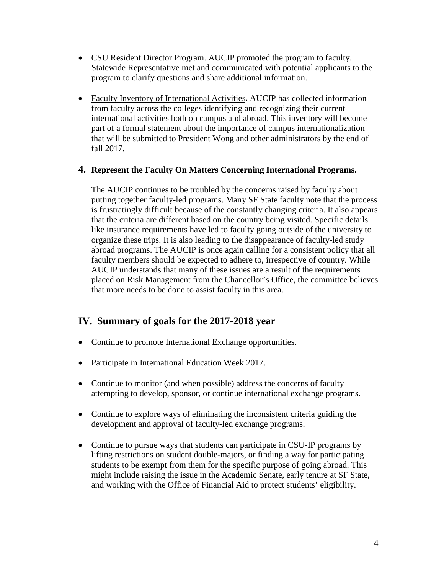- CSU Resident Director Program. AUCIP promoted the program to faculty. Statewide Representative met and communicated with potential applicants to the program to clarify questions and share additional information.
- Faculty Inventory of International Activities**.** AUCIP has collected information from faculty across the colleges identifying and recognizing their current international activities both on campus and abroad. This inventory will become part of a formal statement about the importance of campus internationalization that will be submitted to President Wong and other administrators by the end of fall 2017.

#### **4. Represent the Faculty On Matters Concerning International Programs.**

The AUCIP continues to be troubled by the concerns raised by faculty about putting together faculty-led programs. Many SF State faculty note that the process is frustratingly difficult because of the constantly changing criteria. It also appears that the criteria are different based on the country being visited. Specific details like insurance requirements have led to faculty going outside of the university to organize these trips. It is also leading to the disappearance of faculty-led study abroad programs. The AUCIP is once again calling for a consistent policy that all faculty members should be expected to adhere to, irrespective of country. While AUCIP understands that many of these issues are a result of the requirements placed on Risk Management from the Chancellor's Office, the committee believes that more needs to be done to assist faculty in this area.

## **IV. Summary of goals for the 2017-2018 year**

- Continue to promote International Exchange opportunities.
- Participate in International Education Week 2017.
- Continue to monitor (and when possible) address the concerns of faculty attempting to develop, sponsor, or continue international exchange programs.
- Continue to explore ways of eliminating the inconsistent criteria guiding the development and approval of faculty-led exchange programs.
- Continue to pursue ways that students can participate in CSU-IP programs by lifting restrictions on student double-majors, or finding a way for participating students to be exempt from them for the specific purpose of going abroad. This might include raising the issue in the Academic Senate, early tenure at SF State, and working with the Office of Financial Aid to protect students' eligibility.